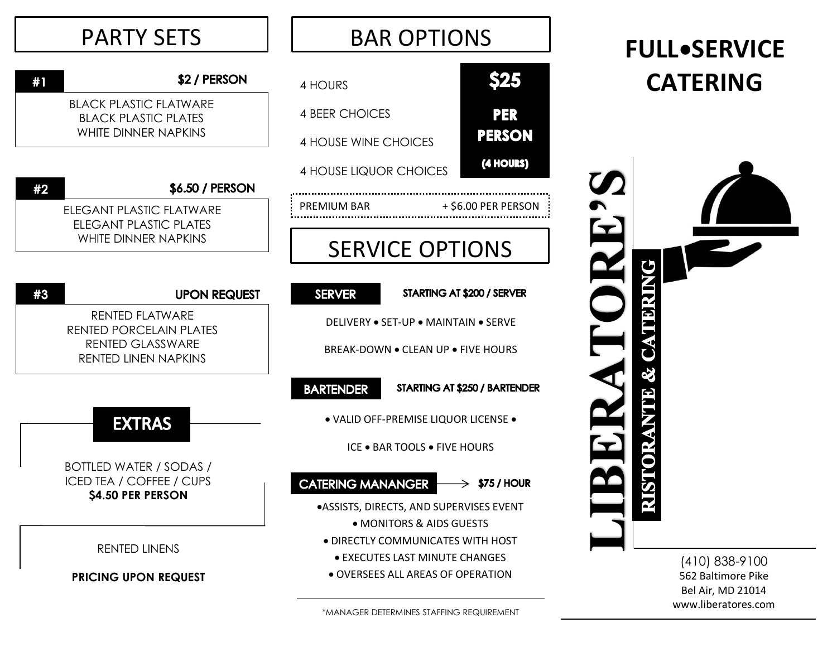| <b>PARTY SETS</b>                                                                                    | <b>BAR OPTIONS</b>                                                                                                           | <b>FULL•SERVICE</b>                                            |
|------------------------------------------------------------------------------------------------------|------------------------------------------------------------------------------------------------------------------------------|----------------------------------------------------------------|
| \$2 / PERSON<br>#1                                                                                   | <b>\$25</b><br>4 HOURS                                                                                                       | <b>CATERING</b>                                                |
| <b>BLACK PLASTIC FLATWARE</b><br><b>BLACK PLASTIC PLATES</b><br><b>WHITE DINNER NAPKINS</b>          | <b>PER</b><br><b>4 BEER CHOICES</b><br><b>PERSON</b><br>4 HOUSE WINE CHOICES                                                 |                                                                |
| \$6.50 / PERSON<br>#2                                                                                | (4 HOURS)<br>4 HOUSE LIQUOR CHOICES                                                                                          |                                                                |
| <b>ELEGANT PLASTIC FLATWARE</b><br>ELEGANT PLASTIC PLATES<br>WHITE DINNER NAPKINS                    | + \$6.00 PER PERSON<br>PREMIUM BAR<br><b>SERVICE OPTIONS</b>                                                                 | $\blacktriangleright$                                          |
| #3<br><b>UPON REQUEST</b>                                                                            | <b>SERVER</b><br>STARTING AT \$200 / SERVER                                                                                  | ğ                                                              |
| <b>RENTED FLATWARE</b><br>RENTED PORCELAIN PLATES<br><b>RENTED GLASSWARE</b><br>RENTED LINEN NAPKINS | DELIVERY . SET-UP . MAINTAIN . SERVE<br>BREAK-DOWN . CLEAN UP . FIVE HOURS                                                   |                                                                |
|                                                                                                      | <b>BARTENDER</b><br>STARTING AT \$250 / BARTENDER                                                                            |                                                                |
| <b>EXTRAS</b>                                                                                        | · VALID OFF-PREMISE LIQUOR LICENSE .<br><b>ICE . BAR TOOLS . FIVE HOURS</b>                                                  |                                                                |
| BOTTLED WATER / SODAS /<br><b>ICED TEA / COFFEE / CUPS</b><br>\$4.50 PER PERSON                      | <b>CATERING MANANGER</b><br>$\Rightarrow$ \$75 / HOUR<br>·ASSISTS, DIRECTS, AND SUPERVISES EVENT<br>• MONITORS & AIDS GUESTS |                                                                |
| RENTED LINENS                                                                                        | • DIRECTLY COMMUNICATES WITH HOST<br><b>. EXECUTES LAST MINUTE CHANGES</b><br>· OVERSEES ALL AREAS OF OPERATION              | $(410)$ 838-9100                                               |
| <b>PRICING UPON REQUEST</b>                                                                          |                                                                                                                              | 562 Baltimore Pike<br>Bel Air, MD 21014<br>www.liberatores.com |

\*MANAGER DETERMINES STAFFING REQUIREMENT